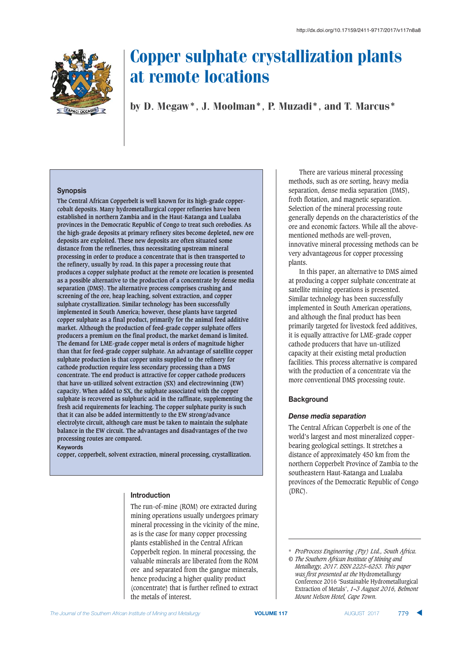

by D. Megaw\*, J. Moolman\*, P. Muzadi\*, and T. Marcus\*

#### **Synopsis**

**The Central African Copperbelt is well known for its high-grade coppercobalt deposits. Many hydrometallurgical copper refineries have been established in northern Zambia and in the Haut-Katanga and Lualaba provinces in the Democratic Republic of Congo to treat such orebodies. As the high-grade deposits at primary refinery sites become depleted, new ore deposits are exploited. These new deposits are often situated some distance from the refineries, thus necessitating upstream mineral processing in order to produce a concentrate that is then transported to the refinery, usually by road. In this paper a processing route that produces a copper sulphate product at the remote ore location is presented as a possible alternative to the production of a concentrate by dense media separation (DMS). The alternative process comprises crushing and screening of the ore, heap leaching, solvent extraction, and copper sulphate crystallization. Similar technology has been successfully implemented in South America; however, these plants have targeted copper sulphate as a final product, primarily for the animal feed additive market. Although the production of feed-grade copper sulphate offers producers a premium on the final product, the market demand is limited. The demand for LME-grade copper metal is orders of magnitude higher than that for feed-grade copper sulphate. An advantage of satellite copper sulphate production is that copper units supplied to the refinery for cathode production require less secondary processing than a DMS concentrate. The end product is attractive for copper cathode producers that have un-utilized solvent extraction (SX) and electrowinning (EW) capacity. When added to SX, the sulphate associated with the copper sulphate is recovered as sulphuric acid in the raffinate, supplementing the fresh acid requirements for leaching. The copper sulphate purity is such that it can also be added intermittently to the EW strong/advance electrolyte circuit, although care must be taken to maintain the sulphate balance in the EW circuit. The advantages and disadvantages of the two processing routes are compared.**

**Keywords** 

**copper, copperbelt, solvent extraction, mineral processing, crystallization.**

## **Introduction**

The run-of-mine (ROM) ore extracted during mining operations usually undergoes primary mineral processing in the vicinity of the mine, as is the case for many copper processing plants established in the Central African Copperbelt region. In mineral processing, the valuable minerals are liberated from the ROM ore and separated from the gangue minerals, hence producing a higher quality product (concentrate) that is further refined to extract the metals of interest.

There are various mineral processing methods, such as ore sorting, heavy media separation, dense media separation (DMS), froth flotation, and magnetic separation. Selection of the mineral processing route generally depends on the characteristics of the ore and economic factors. While all the abovementioned methods are well-proven, innovative mineral processing methods can be very advantageous for copper processing plants.

In this paper, an alternative to DMS aimed at producing a copper sulphate concentrate at satellite mining operations is presented. Similar technology has been successfully implemented in South American operations, and although the final product has been primarily targeted for livestock feed additives, it is equally attractive for LME-grade copper cathode producers that have un-utilized capacity at their existing metal production facilities. This process alternative is compared with the production of a concentrate via the more conventional DMS processing route.

## **Background**

## **Dense media separation**

The Central African Copperbelt is one of the world's largest and most mineralized copperbearing geological settings. It stretches a distance of approximately 450 km from the northern Copperbelt Province of Zambia to the southeastern Haut-Katanga and Lualaba provinces of the Democratic Republic of Congo (DRC).

Extraction of Metals', *1–3 August 2016, Belmont*

*Mount Nelson Hotel, Cape Town.*

<sup>\*</sup> *ProProcess Engineering (Pty) Ltd., South Africa. © The Southern African Institute of Mining and Metallurgy, 2017. ISSN 2225-6253. This paper was first presented at the* Hydrometallurgy Conference 2016 'Sustainable Hydrometallurgical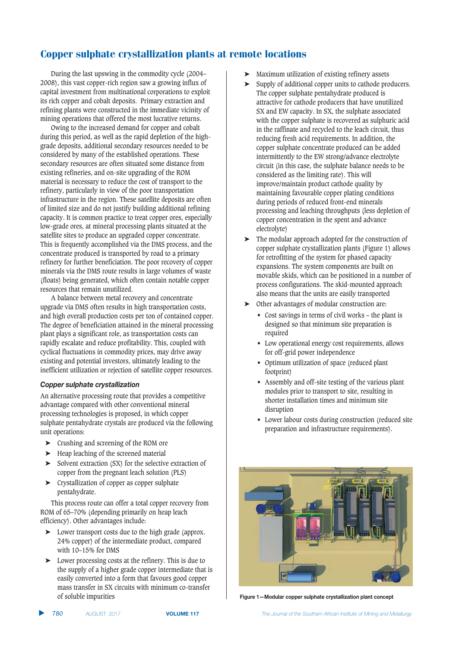During the last upswing in the commodity cycle (2004– 2008), this vast copper-rich region saw a growing influx of capital investment from multinational corporations to exploit its rich copper and cobalt deposits. Primary extraction and refining plants were constructed in the immediate vicinity of mining operations that offered the most lucrative returns.

Owing to the increased demand for copper and cobalt during this period, as well as the rapid depletion of the highgrade deposits, additional secondary resources needed to be considered by many of the established operations. These secondary resources are often situated some distance from existing refineries, and on-site upgrading of the ROM material is necessary to reduce the cost of transport to the refinery, particularly in view of the poor transportation infrastructure in the region. These satellite deposits are often of limited size and do not justify building additional refining capacity. It is common practice to treat copper ores, especially low-grade ores, at mineral processing plants situated at the satellite sites to produce an upgraded copper concentrate. This is frequently accomplished via the DMS process, and the concentrate produced is transported by road to a primary refinery for further beneficiation. The poor recovery of copper minerals via the DMS route results in large volumes of waste (floats) being generated, which often contain notable copper resources that remain unutilized.

A balance between metal recovery and concentrate upgrade via DMS often results in high transportation costs, and high overall production costs per ton of contained copper. The degree of beneficiation attained in the mineral processing plant plays a significant role, as transportation costs can rapidly escalate and reduce profitability. This, coupled with cyclical fluctuations in commodity prices, may drive away existing and potential investors, ultimately leading to the inefficient utilization or rejection of satellite copper resources.

#### **Copper sulphate crystallization**

An alternative processing route that provides a competitive advantage compared with other conventional mineral processing technologies is proposed, in which copper sulphate pentahydrate crystals are produced via the following unit operations:

- ➤ Crushing and screening of the ROM ore
- ➤ Heap leaching of the screened material
- ➤ Solvent extraction (SX) for the selective extraction of copper from the pregnant leach solution (PLS)
- ➤ Crystallization of copper as copper sulphate pentahydrate.

This process route can offer a total copper recovery from ROM of 65–70% (depending primarily on heap leach efficiency). Other advantages include:

- ➤ Lower transport costs due to the high grade (approx. 24% copper) of the intermediate product, compared with 10–15% for DMS
- ➤ Lower processing costs at the refinery. This is due to the supply of a higher grade copper intermediate that is easily converted into a form that favours good copper mass transfer in SX circuits with minimum co-transfer of soluble impurities
- ➤ Maximum utilization of existing refinery assets
- Supply of additional copper units to cathode producers. The copper sulphate pentahydrate produced is attractive for cathode producers that have unutilized SX and EW capacity. In SX, the sulphate associated with the copper sulphate is recovered as sulphuric acid in the raffinate and recycled to the leach circuit, thus reducing fresh acid requirements. In addition, the copper sulphate concentrate produced can be added intermittently to the EW strong/advance electrolyte circuit (in this case, the sulphate balance needs to be considered as the limiting rate). This will improve/maintain product cathode quality by maintaining favourable copper plating conditions during periods of reduced front-end minerals processing and leaching throughputs (less depletion of copper concentration in the spent and advance electrolyte)
- ➤ The modular approach adopted for the construction of copper sulphate crystallization plants (Figure 1) allows for retrofitting of the system for phased capacity expansions. The system components are built on movable skids, which can be positioned in a number of process configurations. The skid-mounted approach also means that the units are easily transported
- ➤ Other advantages of modular construction are:
	- Cost savings in terms of civil works the plant is designed so that minimum site preparation is required
	- Low operational energy cost requirements, allows for off-grid power independence
	- Optimum utilization of space (reduced plant footprint)
	- Assembly and off-site testing of the various plant modules prior to transport to site, resulting in shorter installation times and minimum site disruption
	- Lower labour costs during construction (reduced site preparation and infrastructure requirements).



**Figure 1-Modular copper sulphate crystallization plant concept** 

**VOLUME 117** *Industrianal of the Southern African Institute of Mining and Metallurgy*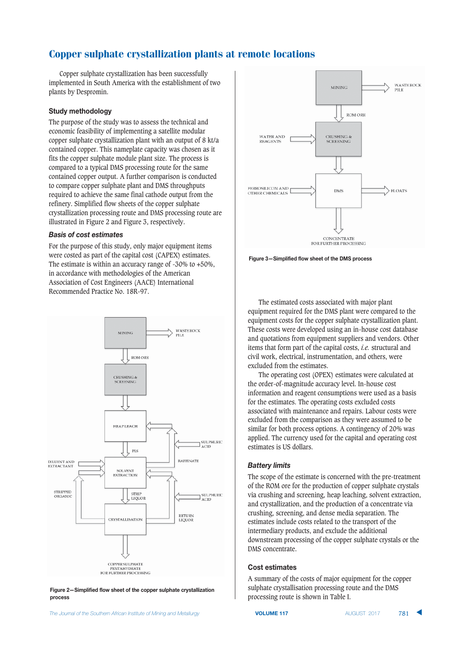Copper sulphate crystallization has been successfully implemented in South America with the establishment of two plants by Despromin.

#### **Study methodology**

The purpose of the study was to assess the technical and economic feasibility of implementing a satellite modular copper sulphate crystallization plant with an output of 8 kt/a contained copper. This nameplate capacity was chosen as it fits the copper sulphate module plant size. The process is compared to a typical DMS processing route for the same contained copper output. A further comparison is conducted to compare copper sulphate plant and DMS throughputs required to achieve the same final cathode output from the refinery. Simplified flow sheets of the copper sulphate crystallization processing route and DMS processing route are illustrated in Figure 2 and Figure 3, respectively.

#### **Basis of cost estimates**

For the purpose of this study, only major equipment items were costed as part of the capital cost (CAPEX) estimates. The estimate is within an accuracy range of -30% to +50%, in accordance with methodologies of the American Association of Cost Engineers (AACE) International Recommended Practice No. 18R-97.



Figure 2-Simplified flow sheet of the copper sulphate crystallization  $process$ 



Figure 3-Simplified flow sheet of the DMS process

The estimated costs associated with major plant equipment required for the DMS plant were compared to the equipment costs for the copper sulphate crystallization plant. These costs were developed using an in-house cost database and quotations from equipment suppliers and vendors. Other items that form part of the capital costs, *i.e.* structural and civil work, electrical, instrumentation, and others, were excluded from the estimates.

The operating cost (OPEX) estimates were calculated at the order-of-magnitude accuracy level. In-house cost information and reagent consumptions were used as a basis for the estimates. The operating costs excluded costs associated with maintenance and repairs. Labour costs were excluded from the comparison as they were assumed to be similar for both process options. A contingency of 20% was applied. The currency used for the capital and operating cost estimates is US dollars.

#### **Battery limits**

The scope of the estimate is concerned with the pre-treatment of the ROM ore for the production of copper sulphate crystals via crushing and screening, heap leaching, solvent extraction, and crystallization, and the production of a concentrate via crushing, screening, and dense media separation. The estimates include costs related to the transport of the intermediary products, and exclude the additional downstream processing of the copper sulphate crystals or the DMS concentrate.

#### **Cost estimates**

A summary of the costs of major equipment for the copper sulphate crystallisation processing route and the DMS processing route is shown in Table I.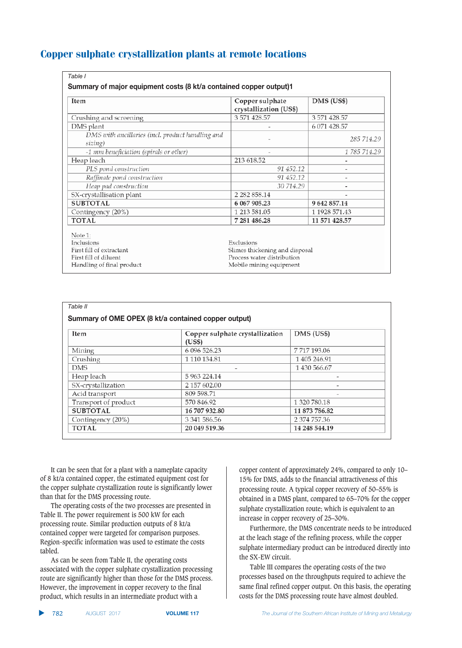| Table I                                                            |                                           |               |  |
|--------------------------------------------------------------------|-------------------------------------------|---------------|--|
| Summary of major equipment costs (8 kt/a contained copper output)1 |                                           |               |  |
| Item                                                               | Copper sulphate<br>crystallization (US\$) | DMS (US\$)    |  |
| Crushing and screening                                             | 3 571 428.57                              | 3 571 428.57  |  |
| DMS plant                                                          |                                           | 6 071 428.57  |  |
| DMS with ancillaries (incl. product handling and<br>sizing)        |                                           | 285 714.29    |  |
| -1 mm beneficiation (spirals or other)                             |                                           | 1 785 714.29  |  |
| Heap leach                                                         | 213 618.52                                |               |  |
| PLS pond construction                                              | 91 452.12                                 |               |  |
| Raffinate pond construction                                        | 91 452.12                                 |               |  |
| Heap pad construction                                              | 30 714.29                                 |               |  |
| SX-crystallisation plant                                           | 2 282 858.14                              |               |  |
| <b>SUBTOTAL</b>                                                    | 6 067 905.23                              | 9 642 857.14  |  |
| Contingency (20%)                                                  | 1 213 581.05                              | 1 1928 571.43 |  |
| <b>TOTAL</b>                                                       | 7 281 486.28                              | 11 571 428.57 |  |
| Note 1:                                                            |                                           |               |  |
| Inclusions                                                         | Exclusions                                |               |  |
| First fill of extractant                                           | Slimes thickening and disposal            |               |  |
| First fill of diluent                                              | Process water distribution                |               |  |
| Handling of final product                                          | Mobile mining equipment                   |               |  |

| Table II                                             |                                           |               |  |  |
|------------------------------------------------------|-------------------------------------------|---------------|--|--|
| Summary of OME OPEX (8 kt/a contained copper output) |                                           |               |  |  |
| Item                                                 | Copper sulphate crystallization<br>(US\$) | DMS (US\$)    |  |  |
| Mining                                               | 6 096 526.23                              | 7717193.06    |  |  |
| Crushing                                             | 1 110 134.81                              | 1 405 246.91  |  |  |
| <b>DMS</b>                                           | $\overline{\phantom{a}}$                  | 1 430 566.67  |  |  |
| Heap leach                                           | 5 963 224.14                              |               |  |  |
| SX-crystallization                                   | 2 157 602.00                              |               |  |  |
| Acid transport                                       | 809 598.71                                |               |  |  |
| Transport of product                                 | 570 846.92                                | 1 320 780.18  |  |  |
| <b>SUBTOTAL</b>                                      | 16 707 932.80                             | 11 873 786.82 |  |  |
| Contingency (20%)                                    | 3 341 586.56                              | 2 374 757.36  |  |  |
| <b>TOTAL</b>                                         | 20 049 519.36                             | 14 248 544.19 |  |  |

It can be seen that for a plant with a nameplate capacity of 8 kt/a contained copper, the estimated equipment cost for the copper sulphate crystallization route is significantly lower than that for the DMS processing route.

The operating costs of the two processes are presented in Table II. The power requirement is 500 kW for each processing route. Similar production outputs of 8 kt/a contained copper were targeted for comparison purposes. Region-specific information was used to estimate the costs tabled.

As can be seen from Table II, the operating costs associated with the copper sulphate crystallization processing route are significantly higher than those for the DMS process. However, the improvement in copper recovery to the final product, which results in an intermediate product with a

copper content of approximately 24%, compared to only 10– 15% for DMS, adds to the financial attractiveness of this processing route. A typical copper recovery of 50–55% is obtained in a DMS plant, compared to 65–70% for the copper sulphate crystallization route; which is equivalent to an increase in copper recovery of 25–30%.

Furthermore, the DMS concentrate needs to be introduced at the leach stage of the refining process, while the copper sulphate intermediary product can be introduced directly into the SX-EW circuit.

Table III compares the operating costs of the two processes based on the throughputs required to achieve the same final refined copper output. On this basis, the operating costs for the DMS processing route have almost doubled.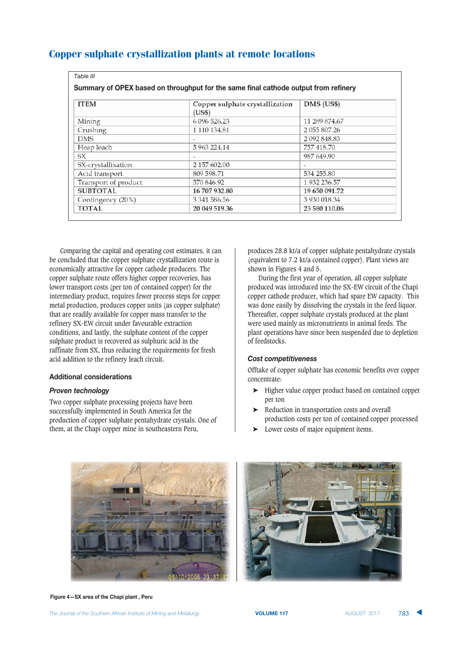|  | <b>Copper sulphate crystallization plants at remote locations</b> |  |  |
|--|-------------------------------------------------------------------|--|--|
|  |                                                                   |  |  |

| Table III            |                                                                                     |               |
|----------------------|-------------------------------------------------------------------------------------|---------------|
|                      | Summary of OPEX based on throughput for the same final cathode output from refinery |               |
| <b>ITEM</b>          | Copper sulphate crystallization<br>(US\$)                                           | DMS (US\$)    |
| Mining               | 6 096 526.23                                                                        | 11 289 874.67 |
| Crushing             | 1 110 134.81                                                                        | 2 055 807.26  |
| <b>DMS</b>           |                                                                                     | 2 092 848.83  |
| Heap leach           | 5 963 224.14                                                                        | 757 418.70    |
| SX                   |                                                                                     | 987 649.90    |
| SX-crystallixation   | 2 157 602.00                                                                        |               |
| Acid transport       | 809 598.71                                                                          | 534 255.80    |
| Transport of product | 570 846.92                                                                          | 1932 236.57   |
| <b>SUBTOTAL</b>      | 16 707 932.80                                                                       | 19 650 091.72 |
| Contingency (20%)    | 3 341 586.56                                                                        | 3 930 018.34  |
| <b>TOTAL</b>         | 20 049 519.36                                                                       | 23 580 110.06 |

Comparing the capital and operating cost estimates, it can be concluded that the copper sulphate crystallization route is economically attractive for copper cathode producers. The copper sulphate route offers higher copper recoveries, has lower transport costs (per ton of contained copper) for the intermediary product, requires fewer process steps for copper metal production, produces copper units (as copper sulphate) that are readily available for copper mass transfer to the refinery SX-EW circuit under favourable extraction conditions, and lastly, the sulphate content of the copper sulphate product is recovered as sulphuric acid in the raffinate from SX, thus reducing the requirements for fresh acid addition to the refinery leach circuit.

#### **Additional considerations**

## 

Two copper sulphate processing projects have been successfully implemented in South America for the production of copper sulphate pentahydrate crystals. One of them, at the Chapi copper mine in southeastern Peru,

produces 28.8 kt/a of copper sulphate pentahydrate crystals (equivalent to 7.2 kt/a contained copper). Plant views are shown in Figures 4 and 5.

During the first year of operation, all copper sulphate produced was introduced into the SX-EW circuit of the Chapi copper cathode producer, which had spare EW capacity. This was done easily by dissolving the crystals in the feed liquor. Thereafter, copper sulphate crystals produced at the plant were used mainly as micronutrients in animal feeds. The plant operations have since been suspended due to depletion of feedstocks.

### **Cost competitiveness**

Offtake of copper sulphate has economic benefits over copper concentrate:

- ➤ Higher value copper product based on contained copper per ton
- ➤ Reduction in transportation costs and overall production costs per ton of contained copper processed
- Lower costs of major equipment items.



Figure 4-SX area of the Chapi plant, Peru